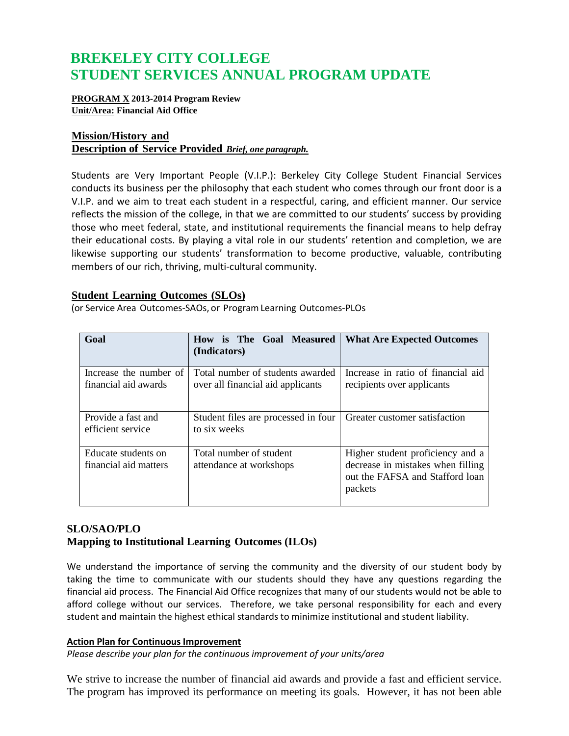# **BREKELEY CITY COLLEGE STUDENT SERVICES ANNUAL PROGRAM UPDATE**

### **PROGRAM X 2013-2014 Program Review Unit/Area: Financial Aid Office**

# **Mission/History and Description of Service Provided** *Brief, one paragraph.*

Students are Very Important People (V.I.P.): Berkeley City College Student Financial Services conducts its business per the philosophy that each student who comes through our front door is a V.I.P. and we aim to treat each student in a respectful, caring, and efficient manner. Our service reflects the mission of the college, in that we are committed to our students' success by providing those who meet federal, state, and institutional requirements the financial means to help defray their educational costs. By playing a vital role in our students' retention and completion, we are likewise supporting our students' transformation to become productive, valuable, contributing members of our rich, thriving, multi-cultural community.

# **Student Learning Outcomes (SLOs)**

(or Service Area Outcomes-SAOs, or ProgramLearning Outcomes-PLOs

| Goal                                           | is The Goal Measured<br><b>How</b><br>(Indicators)                    | <b>What Are Expected Outcomes</b>                                                                                   |
|------------------------------------------------|-----------------------------------------------------------------------|---------------------------------------------------------------------------------------------------------------------|
| Increase the number of<br>financial aid awards | Total number of students awarded<br>over all financial aid applicants | Increase in ratio of financial aid<br>recipients over applicants                                                    |
| Provide a fast and<br>efficient service        | Student files are processed in four<br>to six weeks                   | Greater customer satisfaction                                                                                       |
| Educate students on<br>financial aid matters   | Total number of student<br>attendance at workshops                    | Higher student proficiency and a<br>decrease in mistakes when filling<br>out the FAFSA and Stafford loan<br>packets |

# **SLO/SAO/PLO Mapping to Institutional Learning Outcomes (ILOs)**

We understand the importance of serving the community and the diversity of our student body by taking the time to communicate with our students should they have any questions regarding the financial aid process. The Financial Aid Office recognizes that many of our students would not be able to afford college without our services. Therefore, we take personal responsibility for each and every student and maintain the highest ethical standards to minimize institutional and student liability.

### **Action Plan for Continuous Improvement**

*Please describe your plan for the continuous improvement of your units/area*

We strive to increase the number of financial aid awards and provide a fast and efficient service. The program has improved its performance on meeting its goals. However, it has not been able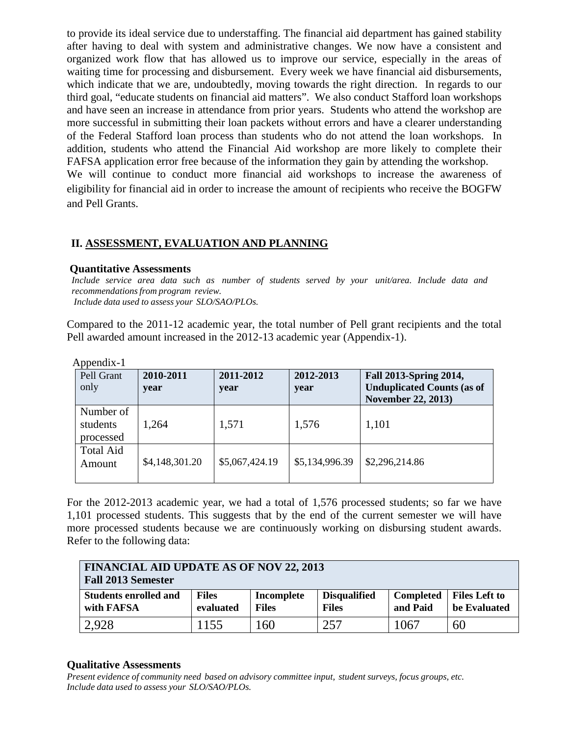to provide its ideal service due to understaffing. The financial aid department has gained stability after having to deal with system and administrative changes. We now have a consistent and organized work flow that has allowed us to improve our service, especially in the areas of waiting time for processing and disbursement. Every week we have financial aid disbursements, which indicate that we are, undoubtedly, moving towards the right direction. In regards to our third goal, "educate students on financial aid matters". We also conduct Stafford loan workshops and have seen an increase in attendance from prior years. Students who attend the workshop are more successful in submitting their loan packets without errors and have a clearer understanding of the Federal Stafford loan process than students who do not attend the loan workshops. In addition, students who attend the Financial Aid workshop are more likely to complete their FAFSA application error free because of the information they gain by attending the workshop. We will continue to conduct more financial aid workshops to increase the awareness of eligibility for financial aid in order to increase the amount of recipients who receive the BOGFW and Pell Grants.

# **II. ASSESSMENT, EVALUATION AND PLANNING**

## **Quantitative Assessments**

*Include service area data such as number of students served by your unit/area. Include data and recommendationsfrom program review. Include data used to assess your SLO/SAO/PLOs.*

Compared to the 2011-12 academic year, the total number of Pell grant recipients and the total Pell awarded amount increased in the 2012-13 academic year (Appendix-1).

| 1 I .<br>Pell Grant<br>only        | 2010-2011<br>year | 2011-2012<br>year | 2012-2013<br>year | <b>Fall 2013-Spring 2014,</b><br><b>Unduplicated Counts (as of</b><br><b>November 22, 2013</b> ) |
|------------------------------------|-------------------|-------------------|-------------------|--------------------------------------------------------------------------------------------------|
| Number of<br>students<br>processed | 1,264             | 1,571             | 1,576             | 1,101                                                                                            |
| <b>Total Aid</b><br>Amount         | \$4,148,301.20    | \$5,067,424.19    | \$5,134,996.39    | \$2,296,214.86                                                                                   |

Appendix-1

For the 2012-2013 academic year, we had a total of 1,576 processed students; so far we have 1,101 processed students. This suggests that by the end of the current semester we will have more processed students because we are continuously working on disbursing student awards. Refer to the following data:

| <b>FINANCIAL AID UPDATE AS OF NOV 22, 2013</b><br><b>Fall 2013 Semester</b> |                           |                            |                                     |                       |                                      |
|-----------------------------------------------------------------------------|---------------------------|----------------------------|-------------------------------------|-----------------------|--------------------------------------|
| <b>Students enrolled and</b><br>with FAFSA                                  | <b>Files</b><br>evaluated | Incomplete<br><b>Files</b> | <b>Disqualified</b><br><b>Files</b> | Completed<br>and Paid | <b>Files Left to</b><br>be Evaluated |
| 2,928                                                                       | 1155                      | 160                        | 257                                 | 1067                  | 60                                   |

# **Qualitative Assessments**

*Present evidence of community need based on advisory committee input, student surveys, focus groups, etc. Include data used to assess your SLO/SAO/PLOs.*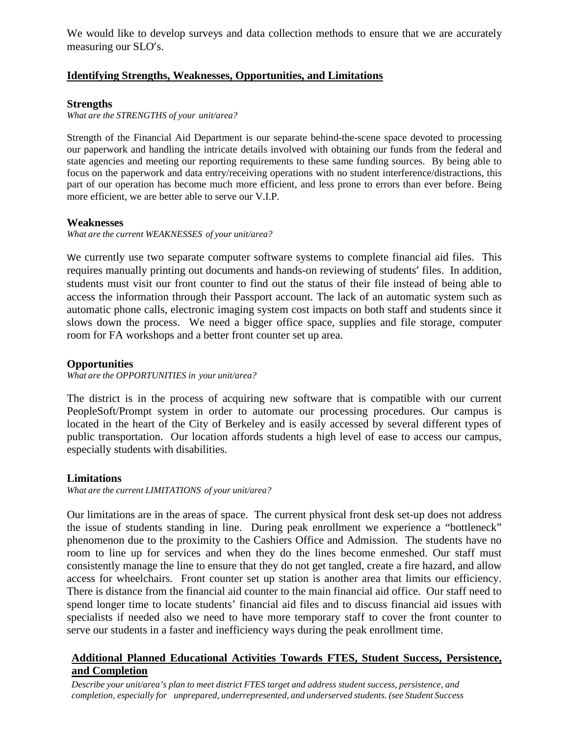We would like to develop surveys and data collection methods to ensure that we are accurately measuring our SLO's.

# **Identifying Strengths, Weaknesses, Opportunities, and Limitations**

### **Strengths**

*What are the STRENGTHS of your unit/area?*

Strength of the Financial Aid Department is our separate behind-the-scene space devoted to processing our paperwork and handling the intricate details involved with obtaining our funds from the federal and state agencies and meeting our reporting requirements to these same funding sources. By being able to focus on the paperwork and data entry/receiving operations with no student interference/distractions, this part of our operation has become much more efficient, and less prone to errors than ever before. Being more efficient, we are better able to serve our V.I.P.

### **Weaknesses**

*What are the current WEAKNESSES of your unit/area?*

We currently use two separate computer software systems to complete financial aid files. This requires manually printing out documents and hands-on reviewing of students' files. In addition, students must visit our front counter to find out the status of their file instead of being able to access the information through their Passport account. The lack of an automatic system such as automatic phone calls, electronic imaging system cost impacts on both staff and students since it slows down the process. We need a bigger office space, supplies and file storage, computer room for FA workshops and a better front counter set up area.

## **Opportunities**

*What are the OPPORTUNITIES in your unit/area?*

The district is in the process of acquiring new software that is compatible with our current PeopleSoft/Prompt system in order to automate our processing procedures. Our campus is located in the heart of the City of Berkeley and is easily accessed by several different types of public transportation. Our location affords students a high level of ease to access our campus, especially students with disabilities.

### **Limitations**

*What are the current LIMITATIONS of your unit/area?*

Our limitations are in the areas of space. The current physical front desk set-up does not address the issue of students standing in line. During peak enrollment we experience a "bottleneck" phenomenon due to the proximity to the Cashiers Office and Admission. The students have no room to line up for services and when they do the lines become enmeshed. Our staff must consistently manage the line to ensure that they do not get tangled, create a fire hazard, and allow access for wheelchairs. Front counter set up station is another area that limits our efficiency. There is distance from the financial aid counter to the main financial aid office. Our staff need to spend longer time to locate students' financial aid files and to discuss financial aid issues with specialists if needed also we need to have more temporary staff to cover the front counter to serve our students in a faster and inefficiency ways during the peak enrollment time.

# **Additional Planned Educational Activities Towards FTES, Student Success, Persistence, and Completion**

*Describe your unit/area's plan to meet district FTES target and address student success, persistence, and completion, especially for unprepared, underrepresented, and underserved students. (see Student Success*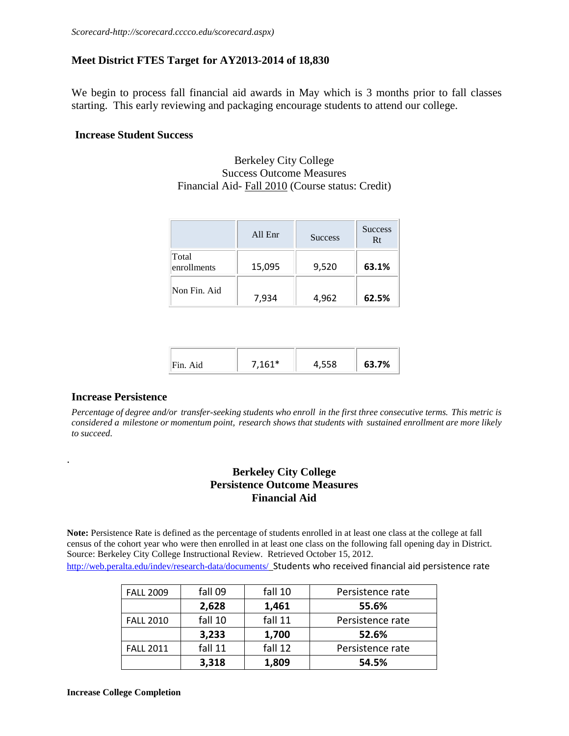## **Meet District FTES Target for AY2013-2014 of 18,830**

We begin to process fall financial aid awards in May which is 3 months prior to fall classes starting. This early reviewing and packaging encourage students to attend our college.

### **Increase Student Success**

Berkeley City College Success Outcome Measures Financial Aid- Fall 2010 (Course status: Credit)

|                      | All Enr | <b>Success</b> | <b>Success</b><br>Rt |
|----------------------|---------|----------------|----------------------|
| Total<br>enrollments | 15,095  | 9,520          | 63.1%                |
| Non Fin. Aid         | 7,934   | 4,962          | 62.5%                |

| $7161*$<br>63.7%<br>ᄄᄄᅇ<br>Fin.<br>, JJU |  |
|------------------------------------------|--|
|------------------------------------------|--|

#### **Increase Persistence**

.

Percentage of degree and/or transfer-seeking students who enroll in the first three consecutive terms. This metric is *considered a milestone or momentum point, research shows that students with sustained enrollment are more likely to succeed.*

# **Berkeley City College Persistence Outcome Measures Financial Aid**

**Note:** Persistence Rate is defined as the percentage of students enrolled in at least one class at the college at fall census of the cohort year who were then enrolled in at least one class on the following fall opening day in District. Source: Berkeley City College Instructional Review. Retrieved October 15, 2012. <http://web.peralta.edu/indev/research-data/documents/>Students who received financial aid persistence rate

| <b>FALL 2009</b> | fall 09 | fall 10 | Persistence rate |
|------------------|---------|---------|------------------|
|                  | 2,628   | 1,461   | 55.6%            |
| <b>FALL 2010</b> | fall 10 | fall 11 | Persistence rate |
|                  | 3,233   | 1,700   | 52.6%            |
| <b>FALL 2011</b> | fall 11 | fall 12 | Persistence rate |
|                  | 3,318   | 1,809   | 54.5%            |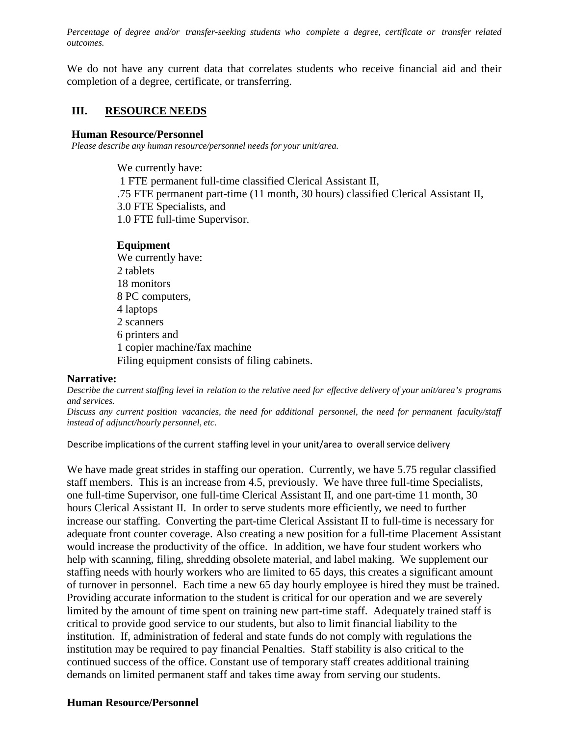*Percentage of degree and/or transfer-seeking students who complete a degree, certificate or transfer related outcomes.*

We do not have any current data that correlates students who receive financial aid and their completion of a degree, certificate, or transferring.

# **III. RESOURCE NEEDS**

### **Human Resource/Personnel**

*Please describe any human resource/personnel needs for your unit/area.*

We currently have: 1 FTE permanent full-time classified Clerical Assistant II, .75 FTE permanent part-time (11 month, 30 hours) classified Clerical Assistant II, 3.0 FTE Specialists, and 1.0 FTE full-time Supervisor.

# **Equipment**

We currently have: 2 tablets 18 monitors 8 PC computers, 4 laptops 2 scanners 6 printers and 1 copier machine/fax machine Filing equipment consists of filing cabinets.

# **Narrative:**

Describe the current staffing level in relation to the relative need for effective delivery of your unit/area's programs *and services.*

*Discuss any current position vacancies, the need for additional personnel, the need for permanent faculty/staff instead of adjunct/hourly personnel, etc.*

Describe implications of the current staffing level in your unit/area to overall service delivery

We have made great strides in staffing our operation. Currently, we have 5.75 regular classified staff members. This is an increase from 4.5, previously. We have three full-time Specialists, one full-time Supervisor, one full-time Clerical Assistant II, and one part-time 11 month, 30 hours Clerical Assistant II. In order to serve students more efficiently, we need to further increase our staffing. Converting the part-time Clerical Assistant II to full-time is necessary for adequate front counter coverage. Also creating a new position for a full-time Placement Assistant would increase the productivity of the office. In addition, we have four student workers who help with scanning, filing, shredding obsolete material, and label making. We supplement our staffing needs with hourly workers who are limited to 65 days, this creates a significant amount of turnover in personnel. Each time a new 65 day hourly employee is hired they must be trained. Providing accurate information to the student is critical for our operation and we are severely limited by the amount of time spent on training new part-time staff. Adequately trained staff is critical to provide good service to our students, but also to limit financial liability to the institution. If, administration of federal and state funds do not comply with regulations the institution may be required to pay financial Penalties. Staff stability is also critical to the continued success of the office. Constant use of temporary staff creates additional training demands on limited permanent staff and takes time away from serving our students.

# **Human Resource/Personnel**